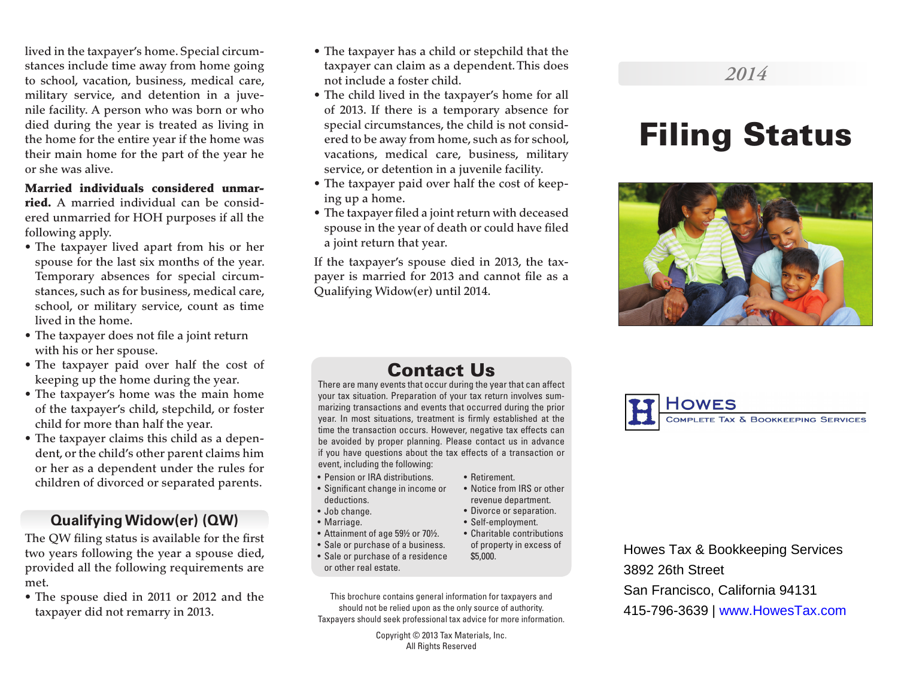lived in the taxpayer's home. Special circumstances include time away from home going to school, vacation, business, medical care, military service, and detention in a juvenile facility. A person who was born or who died during the year is treated as living in the home for the entire year if the home was their main home for the part of the year he or she was alive.

#### Married individuals considered unmar-

ried. A married individual can be considered unmarried for HOH purposes if all the following apply.

- The taxpayer lived apart from his or her spouse for the last six months of the year. Temporary absences for special circumstances, such as for business, medical care, school, or military service, count as time lived in the home.
- The taxpayer does not file a joint return with his or her spouse.
- The taxpayer paid over half the cost of keeping up the home during the year.
- The taxpayer's home was the main home of the taxpayer's child, stepchild, or foster child for more than half the year.
- The taxpayer claims this child as a dependent, or the child's other parent claims him or her as a dependent under the rules for children of divorced or separated parents.

#### **Qualifying Widow(er) (QW)**

The QW filing status is available for the first two years following the year a spouse died, provided all the following requirements are met.

• The spouse died in 2011 or 2012 and the taxpayer did not remarry in 2013.

- The taxpayer has a child or stepchild that the taxpayer can claim as a dependent. This does not include a foster child.
- The child lived in the taxpayer's home for all of 2013. If there is a temporary absence for special circumstances, the child is not considered to be away from home, such as for school, vacations, medical care, business, military service, or detention in a juvenile facility.
- The taxpayer paid over half the cost of keeping up a home.
- The taxpayer filed a joint return with deceased spouse in the year of death or could have filed a joint return that year.

If the taxpayer's spouse died in 2013, the taxpayer is married for 2013 and cannot file as a Qualifying Widow(er) until 2014.

# Filing Status

*2014*



## Contact Us

There are many events that occur during the year that can affect your tax situation. Preparation of your tax return involves summarizing transactions and events that occurred during the prior year. In most situations, treatment is firmly established at the time the transaction occurs. However, negative tax effects can be avoided by proper planning. Please contact us in advance if you have questions about the tax effects of a transaction or event, including the following:

• Retirement.

\$5,000.

• Notice from IRS or other revenue department. • Divorce or separation. • Self-employment. • Charitable contributions of property in excess of

- Pension or IRA distributions.
- Significant change in income or deductions.
- Job change.
- Marriage.
- Attainment of age 59½ or 70½.
- Sale or purchase of a business.
- Sale or purchase of a residence or other real estate.
- This brochure contains general information for taxpayers and should not be relied upon as the only source of authority. Taxpayers should seek professional tax advice for more information.

Copyright © 2013 Tax Materials, Inc. All Rights Reserved



Howes Tax & Bookkeeping Services 3892 26th Street San Francisco, California 94131 415-796-3639 | www.HowesTax.com